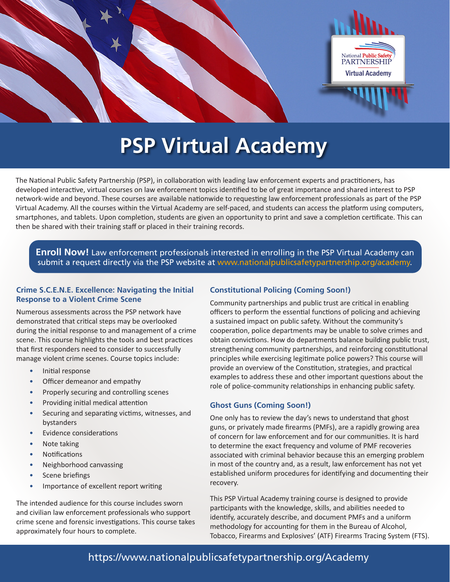

## **PSP Virtual Academy**

The National Public Safety Partnership (PSP), in collaboration with leading law enforcement experts and practitioners, has developed interactive, virtual courses on law enforcement topics identified to be of great importance and shared interest to PSP network-wide and beyond. These courses are available nationwide to requesting law enforcement professionals as part of the PSP Virtual Academy. All the courses within the Virtual Academy are self-paced, and students can access the platform using computers, smartphones, and tablets. Upon completion, students are given an opportunity to print and save a completion certificate. This can then be shared with their training staff or placed in their training records.

**Enroll Now!** Law enforcement professionals interested in enrolling in the PSP Virtual Academy can submit a request directly via the PSP website at [www.nationalpublicsafetypartnership.org/academy.](http://www.nationalpublicsafetypartnership.org/academy)

#### **Crime S.C.E.N.E. Excellence: Navigating the Initial Response to a Violent Crime Scene**

Numerous assessments across the PSP network have demonstrated that critical steps may be overlooked during the initial response to and management of a crime scene. This course highlights the tools and best practices that first responders need to consider to successfully manage violent crime scenes. Course topics include:

- Initial response
- Officer demeanor and empathy
- Properly securing and controlling scenes
- Providing initial medical attention
- Securing and separating victims, witnesses, and bystanders
- Evidence considerations
- Note taking
- **Notifications**
- Neighborhood canvassing
- Scene briefings
- Importance of excellent report writing

The intended audience for this course includes sworn and civilian law enforcement professionals who support crime scene and forensic investigations. This course takes approximately four hours to complete.

### **Constitutional Policing (Coming Soon!)**

Community partnerships and public trust are critical in enabling officers to perform the essential functions of policing and achieving a sustained impact on public safety. Without the community's cooperation, police departments may be unable to solve crimes and obtain convictions. How do departments balance building public trust, strengthening community partnerships, and reinforcing constitutional principles while exercising legitimate police powers? This course will provide an overview of the Constitution, strategies, and practical examples to address these and other important questions about the role of police-community relationships in enhancing public safety.

### **Ghost Guns (Coming Soon!)**

One only has to review the day's news to understand that ghost guns, or privately made firearms (PMFs), are a rapidly growing area of concern for law enforcement and for our communities. It is hard to determine the exact frequency and volume of PMF recoveries associated with criminal behavior because this an emerging problem in most of the country and, as a result, law enforcement has not yet established uniform procedures for identifying and documenting their recovery.

This PSP Virtual Academy training course is designed to provide participants with the knowledge, skills, and abilities needed to identify, accurately describe, and document PMFs and a uniform methodology for accounting for them in the Bureau of Alcohol, Tobacco, Firearms and Explosives' (ATF) Firearms Tracing System (FTS).

### <https://www.nationalpublicsafetypartnership.org/Academy>